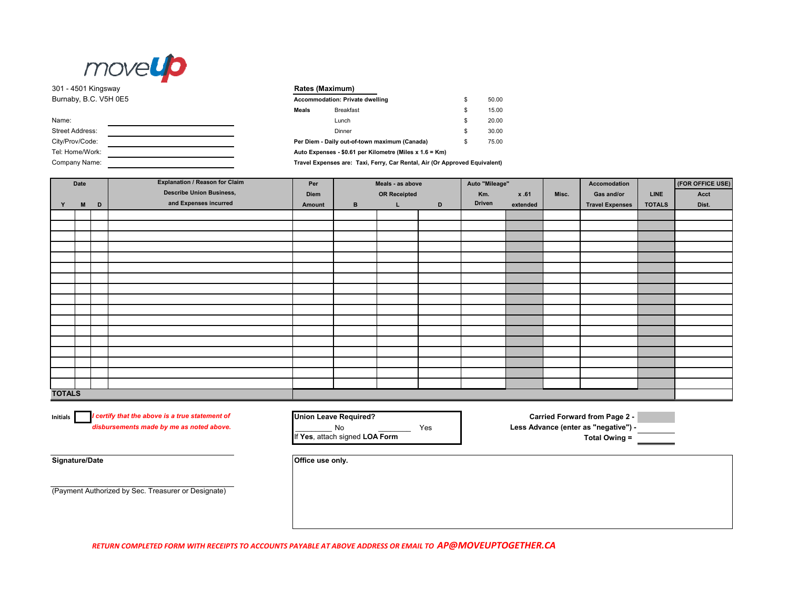

301 - 4501 Kingsway **Rates (Maximum)** Burnaby, B.C. V5H 0E5

| Name:                  |  |
|------------------------|--|
| <b>Street Address:</b> |  |
| City/Prov/Code:        |  |
| Tel: Home/Work:        |  |
| Company Name:          |  |

| Accommodation: Private dwelling                         | S  | 50.00 |
|---------------------------------------------------------|----|-------|
| Meals                                                   | S  | 15.00 |
|                                                         | \$ | 20.00 |
|                                                         | \$ | 30.00 |
| Per Diem - Daily out-of-town maximum (Canada)           | S  | 75.00 |
| Auto Expenses - \$0.61 per Kilometre (Miles x 1.6 = Km) |    |       |

**Travel Expenses are: Taxi, Ferry, Car Rental, Air (Or Approved Equivalent)**

| Date          |   |   | <b>Explanation / Reason for Claim</b> | Meals - as above<br>Per |                     |    | Auto "Mileage" |        |          | Accomodation | (FOR OFFICE USE)       |               |       |
|---------------|---|---|---------------------------------------|-------------------------|---------------------|----|----------------|--------|----------|--------------|------------------------|---------------|-------|
|               |   |   | <b>Describe Union Business,</b>       | Diem                    | <b>OR Receipted</b> |    | Km.            | x .61  |          | Gas and/or   | <b>LINE</b>            | Acct          |       |
| Y             | M | D | and Expenses incurred                 | Amount                  | $\mathbf{B}$        | L. | D              | Driven | extended |              | <b>Travel Expenses</b> | <b>TOTALS</b> | Dist. |
|               |   |   |                                       |                         |                     |    |                |        |          |              |                        |               |       |
|               |   |   |                                       |                         |                     |    |                |        |          |              |                        |               |       |
|               |   |   |                                       |                         |                     |    |                |        |          |              |                        |               |       |
|               |   |   |                                       |                         |                     |    |                |        |          |              |                        |               |       |
|               |   |   |                                       |                         |                     |    |                |        |          |              |                        |               |       |
|               |   |   |                                       |                         |                     |    |                |        |          |              |                        |               |       |
|               |   |   |                                       |                         |                     |    |                |        |          |              |                        |               |       |
|               |   |   |                                       |                         |                     |    |                |        |          |              |                        |               |       |
|               |   |   |                                       |                         |                     |    |                |        |          |              |                        |               |       |
|               |   |   |                                       |                         |                     |    |                |        |          |              |                        |               |       |
|               |   |   |                                       |                         |                     |    |                |        |          |              |                        |               |       |
|               |   |   |                                       |                         |                     |    |                |        |          |              |                        |               |       |
|               |   |   |                                       |                         |                     |    |                |        |          |              |                        |               |       |
|               |   |   |                                       |                         |                     |    |                |        |          |              |                        |               |       |
|               |   |   |                                       |                         |                     |    |                |        |          |              |                        |               |       |
|               |   |   |                                       |                         |                     |    |                |        |          |              |                        |               |       |
|               |   |   |                                       |                         |                     |    |                |        |          |              |                        |               |       |
| <b>TOTALS</b> |   |   |                                       |                         |                     |    |                |        |          |              |                        |               |       |

**Initials**

*disbursements made by me as noted above.*

No **No Less Advance (enter as "negative") -**<br>h signed LOA Form **COM Total Owing =** If Yes, attach signed LOA Form

*I certify that the above is a true statement of* **Union Leave Required? Carried Forward from Page 2 -** 

**Signature/Date** *Office use only.* 

(Payment Authorized by Sec. Treasurer or Designate)

*RETURN COMPLETED FORM WITH RECEIPTS TO ACCOUNTS PAYABLE AT ABOVE ADDRESS OR EMAIL TO AP@MOVEUPTOGETHER.CA*